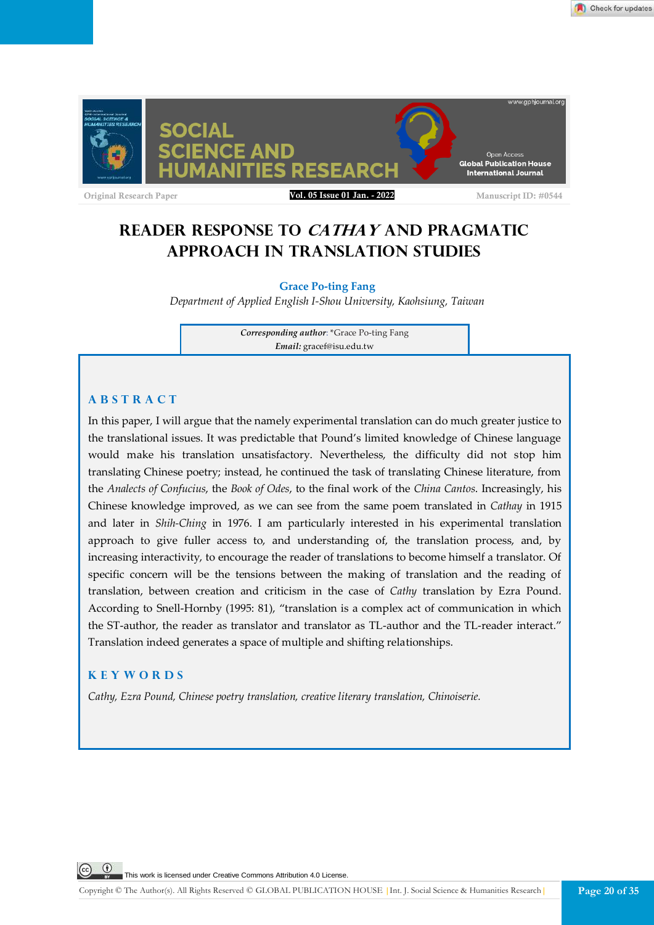

# **READER RESPONSE TO CATHAY AND PRAGMATIC APPROACH IN TRANSLATION STUDIES**

# **Grace Po-ting Fang**

*Department of Applied English I-Shou University, Kaohsiung, Taiwan*

*Corresponding author*: \*Grace Po-ting Fang *Email:* gracef@isu.edu.tw

# **A B S T R A C T**

In this paper, I will argue that the namely experimental translation can do much greater justice to the translational issues. It was predictable that Pound's limited knowledge of Chinese language would make his translation unsatisfactory. Nevertheless, the difficulty did not stop him translating Chinese poetry; instead, he continued the task of translating Chinese literature, from the *Analects of Confucius*, the *Book of Odes*, to the final work of the *China Cantos*. Increasingly, his Chinese knowledge improved, as we can see from the same poem translated in *Cathay* in 1915 and later in *Shih-Ching* in 1976. I am particularly interested in his experimental translation approach to give fuller access to, and understanding of, the translation process, and, by increasing interactivity, to encourage the reader of translations to become himself a translator. Of specific concern will be the tensions between the making of translation and the reading of translation, between creation and criticism in the case of *Cathy* translation by Ezra Pound. According to Snell-Hornby (1995: 81), "translation is a complex act of communication in which the ST-author, the reader as translator and translator as TL-author and the TL-reader interact." Translation indeed generates a space of multiple and shifting relationships.

# **K E Y W O R D S**

*Cathy, Ezra Pound, Chinese poetry translation, creative literary translation, Chinoiserie.*

This work is licensed under Creative Commons Attribution 4.0 License.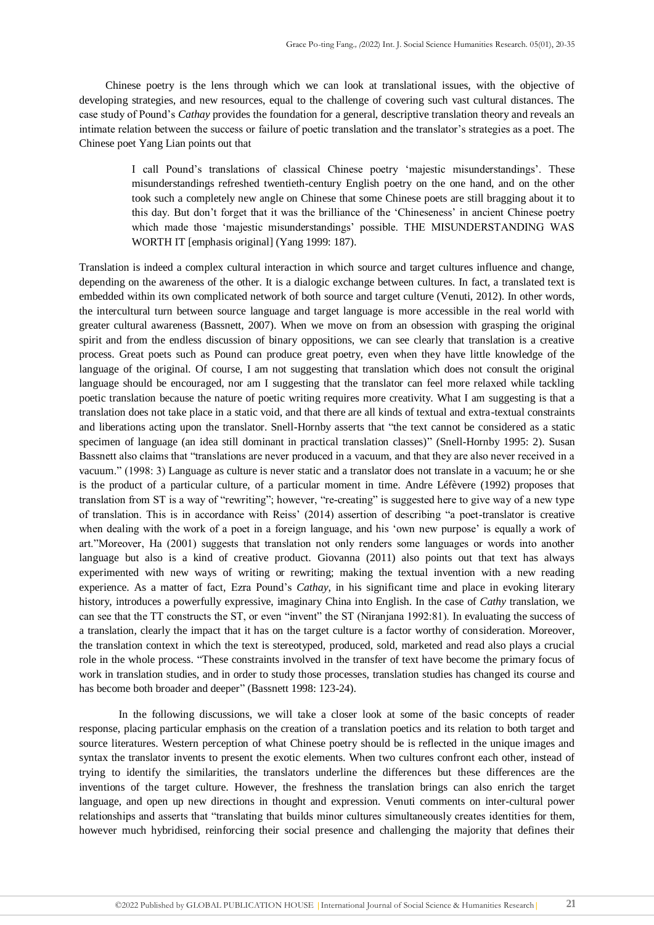Chinese poetry is the lens through which we can look at translational issues, with the objective of developing strategies, and new resources, equal to the challenge of covering such vast cultural distances. The case study of Pound's *Cathay* provides the foundation for a general, descriptive translation theory and reveals an intimate relation between the success or failure of poetic translation and the translator's strategies as a poet. The Chinese poet Yang Lian points out that

> I call Pound's translations of classical Chinese poetry 'majestic misunderstandings'. These misunderstandings refreshed twentieth-century English poetry on the one hand, and on the other took such a completely new angle on Chinese that some Chinese poets are still bragging about it to this day. But don't forget that it was the brilliance of the 'Chineseness' in ancient Chinese poetry which made those 'majestic misunderstandings' possible. THE MISUNDERSTANDING WAS WORTH IT [emphasis original] (Yang 1999: 187).

Translation is indeed a complex cultural interaction in which source and target cultures influence and change, depending on the awareness of the other. It is a dialogic exchange between cultures. In fact, a translated text is embedded within its own complicated network of both source and target culture (Venuti, 2012). In other words, the intercultural turn between source language and target language is more accessible in the real world with greater cultural awareness (Bassnett, 2007). When we move on from an obsession with grasping the original spirit and from the endless discussion of binary oppositions, we can see clearly that translation is a creative process. Great poets such as Pound can produce great poetry, even when they have little knowledge of the language of the original. Of course, I am not suggesting that translation which does not consult the original language should be encouraged, nor am I suggesting that the translator can feel more relaxed while tackling poetic translation because the nature of poetic writing requires more creativity. What I am suggesting is that a translation does not take place in a static void, and that there are all kinds of textual and extra-textual constraints and liberations acting upon the translator. Snell-Hornby asserts that "the text cannot be considered as a static specimen of language (an idea still dominant in practical translation classes)" (Snell-Hornby 1995: 2). Susan Bassnett also claims that "translations are never produced in a vacuum, and that they are also never received in a vacuum." (1998: 3) Language as culture is never static and a translator does not translate in a vacuum; he or she is the product of a particular culture, of a particular moment in time. Andre Léfèvere (1992) proposes that translation from ST is a way of "rewriting"; however, "re-creating" is suggested here to give way of a new type of translation. This is in accordance with Reiss' (2014) assertion of describing "a poet-translator is creative when dealing with the work of a poet in a foreign language, and his 'own new purpose' is equally a work of art."Moreover, Ha (2001) suggests that translation not only renders some languages or words into another language but also is a kind of creative product. Giovanna (2011) also points out that text has always experimented with new ways of writing or rewriting; making the textual invention with a new reading experience. As a matter of fact, Ezra Pound's *Cathay*, in his significant time and place in evoking literary history, introduces a powerfully expressive, imaginary China into English. In the case of *Cathy* translation, we can see that the TT constructs the ST, or even "invent" the ST (Niranjana 1992:81). In evaluating the success of a translation, clearly the impact that it has on the target culture is a factor worthy of consideration. Moreover, the translation context in which the text is stereotyped, produced, sold, marketed and read also plays a crucial role in the whole process. "These constraints involved in the transfer of text have become the primary focus of work in translation studies, and in order to study those processes, translation studies has changed its course and has become both broader and deeper" (Bassnett 1998: 123-24).

In the following discussions, we will take a closer look at some of the basic concepts of reader response, placing particular emphasis on the creation of a translation poetics and its relation to both target and source literatures. Western perception of what Chinese poetry should be is reflected in the unique images and syntax the translator invents to present the exotic elements. When two cultures confront each other, instead of trying to identify the similarities, the translators underline the differences but these differences are the inventions of the target culture. However, the freshness the translation brings can also enrich the target language, and open up new directions in thought and expression. Venuti comments on inter-cultural power relationships and asserts that "translating that builds minor cultures simultaneously creates identities for them, however much hybridised, reinforcing their social presence and challenging the majority that defines their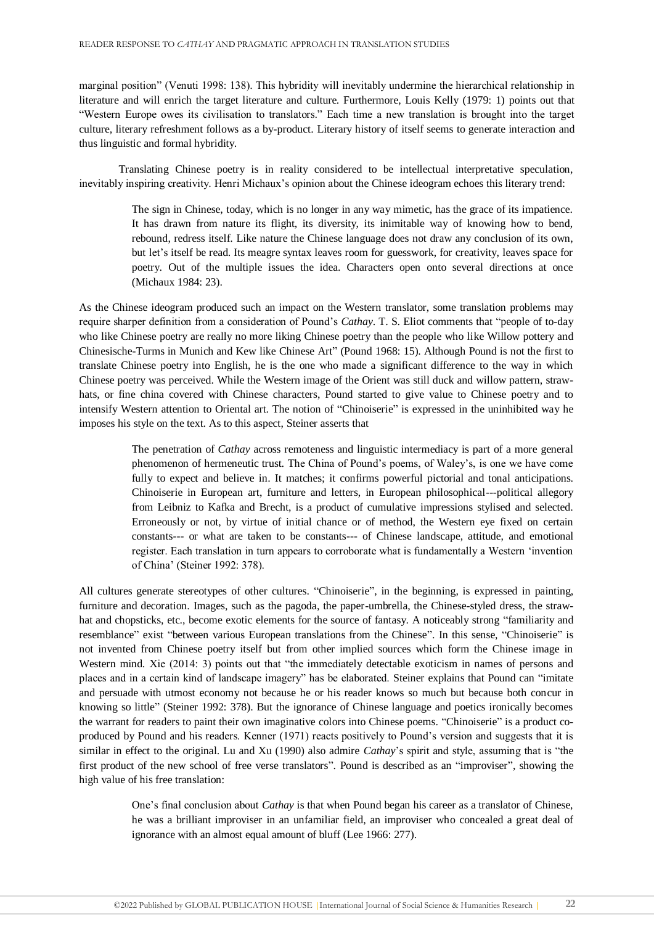marginal position" (Venuti 1998: 138). This hybridity will inevitably undermine the hierarchical relationship in literature and will enrich the target literature and culture. Furthermore, Louis Kelly (1979: 1) points out that "Western Europe owes its civilisation to translators." Each time a new translation is brought into the target culture, literary refreshment follows as a by-product. Literary history of itself seems to generate interaction and thus linguistic and formal hybridity.

Translating Chinese poetry is in reality considered to be intellectual interpretative speculation, inevitably inspiring creativity. Henri Michaux's opinion about the Chinese ideogram echoes this literary trend:

> The sign in Chinese, today, which is no longer in any way mimetic, has the grace of its impatience. It has drawn from nature its flight, its diversity, its inimitable way of knowing how to bend, rebound, redress itself. Like nature the Chinese language does not draw any conclusion of its own, but let's itself be read. Its meagre syntax leaves room for guesswork, for creativity, leaves space for poetry. Out of the multiple issues the idea. Characters open onto several directions at once (Michaux 1984: 23).

As the Chinese ideogram produced such an impact on the Western translator, some translation problems may require sharper definition from a consideration of Pound's *Cathay*. T. S. Eliot comments that "people of to-day who like Chinese poetry are really no more liking Chinese poetry than the people who like Willow pottery and Chinesische-Turms in Munich and Kew like Chinese Art" (Pound 1968: 15). Although Pound is not the first to translate Chinese poetry into English, he is the one who made a significant difference to the way in which Chinese poetry was perceived. While the Western image of the Orient was still duck and willow pattern, strawhats, or fine china covered with Chinese characters, Pound started to give value to Chinese poetry and to intensify Western attention to Oriental art. The notion of "Chinoiserie" is expressed in the uninhibited way he imposes his style on the text. As to this aspect, Steiner asserts that

> The penetration of *Cathay* across remoteness and linguistic intermediacy is part of a more general phenomenon of hermeneutic trust. The China of Pound's poems, of Waley's, is one we have come fully to expect and believe in. It matches; it confirms powerful pictorial and tonal anticipations. Chinoiserie in European art, furniture and letters, in European philosophical---political allegory from Leibniz to Kafka and Brecht, is a product of cumulative impressions stylised and selected. Erroneously or not, by virtue of initial chance or of method, the Western eye fixed on certain constants--- or what are taken to be constants--- of Chinese landscape, attitude, and emotional register. Each translation in turn appears to corroborate what is fundamentally a Western 'invention of China' (Steiner 1992: 378).

All cultures generate stereotypes of other cultures. "Chinoiserie", in the beginning, is expressed in painting, furniture and decoration. Images, such as the pagoda, the paper-umbrella, the Chinese-styled dress, the strawhat and chopsticks, etc., become exotic elements for the source of fantasy. A noticeably strong "familiarity and resemblance" exist "between various European translations from the Chinese". In this sense, "Chinoiserie" is not invented from Chinese poetry itself but from other implied sources which form the Chinese image in Western mind. Xie (2014: 3) points out that "the immediately detectable exoticism in names of persons and places and in a certain kind of landscape imagery" has be elaborated. Steiner explains that Pound can "imitate and persuade with utmost economy not because he or his reader knows so much but because both concur in knowing so little" (Steiner 1992: 378). But the ignorance of Chinese language and poetics ironically becomes the warrant for readers to paint their own imaginative colors into Chinese poems. "Chinoiserie" is a product coproduced by Pound and his readers. Kenner (1971) reacts positively to Pound's version and suggests that it is similar in effect to the original. Lu and Xu (1990) also admire *Cathay*'s spirit and style, assuming that is "the first product of the new school of free verse translators". Pound is described as an "improviser", showing the high value of his free translation:

> One's final conclusion about *Cathay* is that when Pound began his career as a translator of Chinese, he was a brilliant improviser in an unfamiliar field, an improviser who concealed a great deal of ignorance with an almost equal amount of bluff (Lee 1966: 277).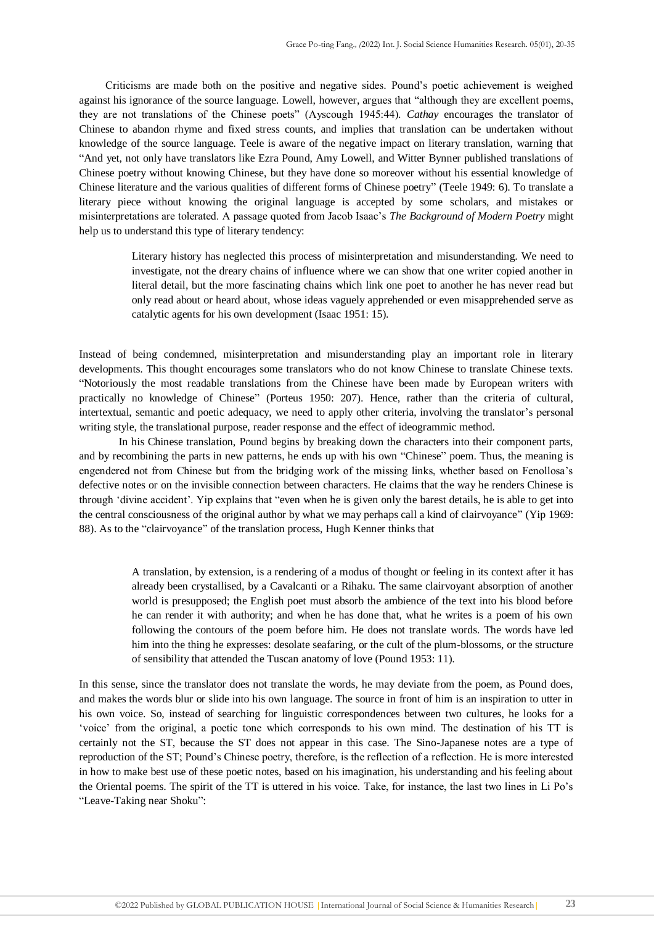Criticisms are made both on the positive and negative sides. Pound's poetic achievement is weighed against his ignorance of the source language. Lowell, however, argues that "although they are excellent poems, they are not translations of the Chinese poets" (Ayscough 1945:44). *Cathay* encourages the translator of Chinese to abandon rhyme and fixed stress counts, and implies that translation can be undertaken without knowledge of the source language. Teele is aware of the negative impact on literary translation, warning that "And yet, not only have translators like Ezra Pound, Amy Lowell, and Witter Bynner published translations of Chinese poetry without knowing Chinese, but they have done so moreover without his essential knowledge of Chinese literature and the various qualities of different forms of Chinese poetry" (Teele 1949: 6). To translate a literary piece without knowing the original language is accepted by some scholars, and mistakes or misinterpretations are tolerated. A passage quoted from Jacob Isaac's *The Background of Modern Poetry* might help us to understand this type of literary tendency:

> Literary history has neglected this process of misinterpretation and misunderstanding. We need to investigate, not the dreary chains of influence where we can show that one writer copied another in literal detail, but the more fascinating chains which link one poet to another he has never read but only read about or heard about, whose ideas vaguely apprehended or even misapprehended serve as catalytic agents for his own development (Isaac 1951: 15).

Instead of being condemned, misinterpretation and misunderstanding play an important role in literary developments. This thought encourages some translators who do not know Chinese to translate Chinese texts. "Notoriously the most readable translations from the Chinese have been made by European writers with practically no knowledge of Chinese" (Porteus 1950: 207). Hence, rather than the criteria of cultural, intertextual, semantic and poetic adequacy, we need to apply other criteria, involving the translator's personal writing style, the translational purpose, reader response and the effect of ideogrammic method.

In his Chinese translation, Pound begins by breaking down the characters into their component parts, and by recombining the parts in new patterns, he ends up with his own "Chinese" poem. Thus, the meaning is engendered not from Chinese but from the bridging work of the missing links, whether based on Fenollosa's defective notes or on the invisible connection between characters. He claims that the way he renders Chinese is through 'divine accident'. Yip explains that "even when he is given only the barest details, he is able to get into the central consciousness of the original author by what we may perhaps call a kind of clairvoyance" (Yip 1969: 88). As to the "clairvoyance" of the translation process, Hugh Kenner thinks that

> A translation, by extension, is a rendering of a modus of thought or feeling in its context after it has already been crystallised, by a Cavalcanti or a Rihaku. The same clairvoyant absorption of another world is presupposed; the English poet must absorb the ambience of the text into his blood before he can render it with authority; and when he has done that, what he writes is a poem of his own following the contours of the poem before him. He does not translate words. The words have led him into the thing he expresses: desolate seafaring, or the cult of the plum-blossoms, or the structure of sensibility that attended the Tuscan anatomy of love (Pound 1953: 11).

In this sense, since the translator does not translate the words, he may deviate from the poem, as Pound does, and makes the words blur or slide into his own language. The source in front of him is an inspiration to utter in his own voice. So, instead of searching for linguistic correspondences between two cultures, he looks for a 'voice' from the original, a poetic tone which corresponds to his own mind. The destination of his TT is certainly not the ST, because the ST does not appear in this case. The Sino-Japanese notes are a type of reproduction of the ST; Pound's Chinese poetry, therefore, is the reflection of a reflection. He is more interested in how to make best use of these poetic notes, based on his imagination, his understanding and his feeling about the Oriental poems. The spirit of the TT is uttered in his voice. Take, for instance, the last two lines in Li Po's "Leave-Taking near Shoku":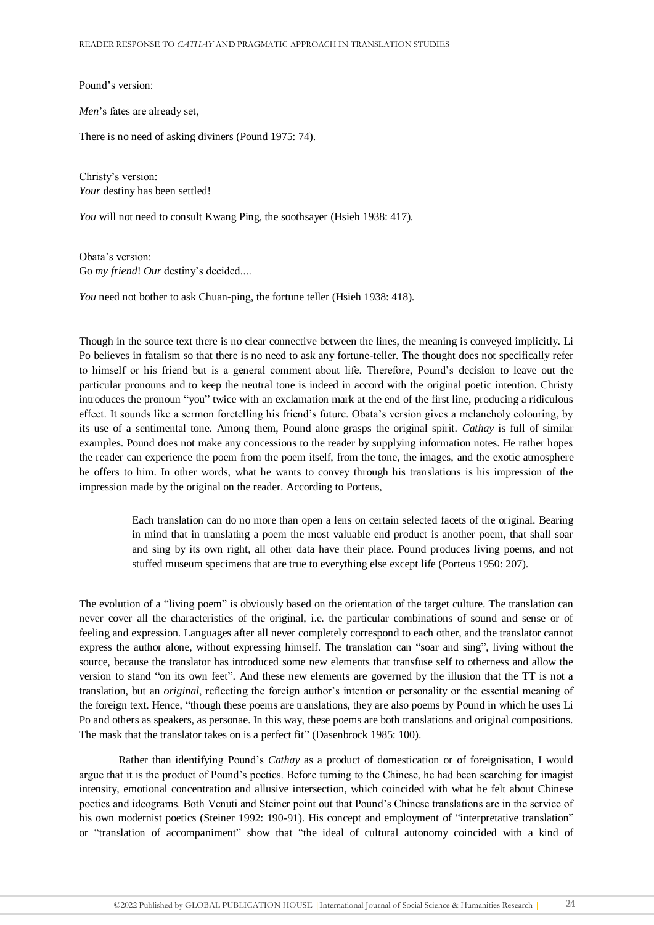Pound's version:

*Men*'s fates are already set,

There is no need of asking diviners (Pound 1975: 74).

Christy's version: *Your* destiny has been settled!

*You* will not need to consult Kwang Ping, the soothsayer (Hsieh 1938: 417).

Obata's version: Go *my friend*! *Our* destiny's decided....

*You* need not bother to ask Chuan-ping, the fortune teller (Hsieh 1938: 418).

Though in the source text there is no clear connective between the lines, the meaning is conveyed implicitly. Li Po believes in fatalism so that there is no need to ask any fortune-teller. The thought does not specifically refer to himself or his friend but is a general comment about life. Therefore, Pound's decision to leave out the particular pronouns and to keep the neutral tone is indeed in accord with the original poetic intention. Christy introduces the pronoun "you" twice with an exclamation mark at the end of the first line, producing a ridiculous effect. It sounds like a sermon foretelling his friend's future. Obata's version gives a melancholy colouring, by its use of a sentimental tone. Among them, Pound alone grasps the original spirit. *Cathay* is full of similar examples. Pound does not make any concessions to the reader by supplying information notes. He rather hopes the reader can experience the poem from the poem itself, from the tone, the images, and the exotic atmosphere he offers to him. In other words, what he wants to convey through his translations is his impression of the impression made by the original on the reader. According to Porteus,

> Each translation can do no more than open a lens on certain selected facets of the original. Bearing in mind that in translating a poem the most valuable end product is another poem, that shall soar and sing by its own right, all other data have their place. Pound produces living poems, and not stuffed museum specimens that are true to everything else except life (Porteus 1950: 207).

The evolution of a "living poem" is obviously based on the orientation of the target culture. The translation can never cover all the characteristics of the original, i.e. the particular combinations of sound and sense or of feeling and expression. Languages after all never completely correspond to each other, and the translator cannot express the author alone, without expressing himself. The translation can "soar and sing", living without the source, because the translator has introduced some new elements that transfuse self to otherness and allow the version to stand "on its own feet". And these new elements are governed by the illusion that the TT is not a translation, but an *original*, reflecting the foreign author's intention or personality or the essential meaning of the foreign text. Hence, "though these poems are translations, they are also poems by Pound in which he uses Li Po and others as speakers, as personae. In this way, these poems are both translations and original compositions. The mask that the translator takes on is a perfect fit" (Dasenbrock 1985: 100).

Rather than identifying Pound's *Cathay* as a product of domestication or of foreignisation, I would argue that it is the product of Pound's poetics. Before turning to the Chinese, he had been searching for imagist intensity, emotional concentration and allusive intersection, which coincided with what he felt about Chinese poetics and ideograms. Both Venuti and Steiner point out that Pound's Chinese translations are in the service of his own modernist poetics (Steiner 1992: 190-91). His concept and employment of "interpretative translation" or "translation of accompaniment" show that "the ideal of cultural autonomy coincided with a kind of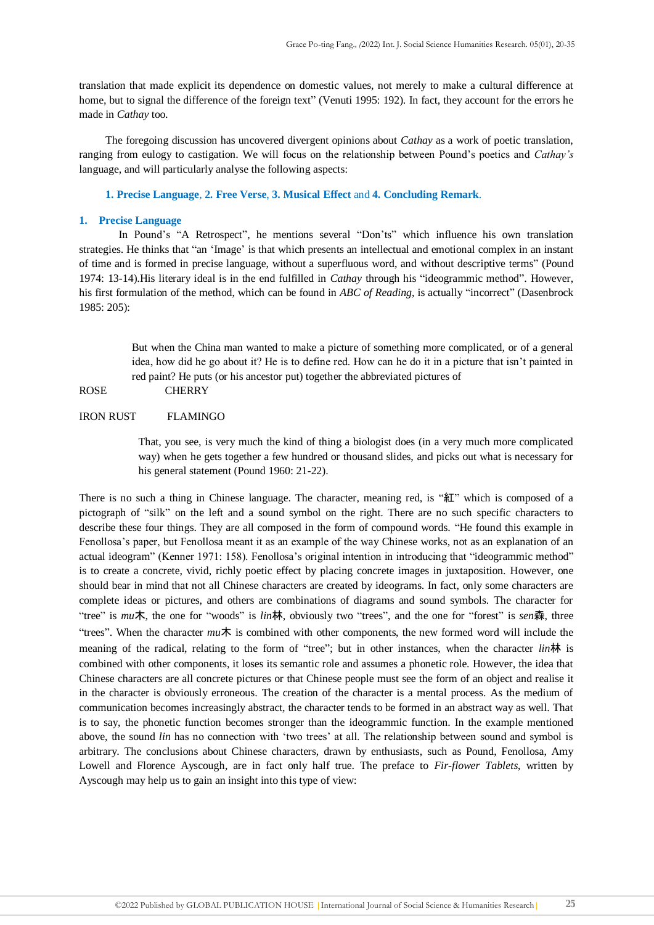translation that made explicit its dependence on domestic values, not merely to make a cultural difference at home, but to signal the difference of the foreign text" (Venuti 1995: 192). In fact, they account for the errors he made in *Cathay* too.

The foregoing discussion has uncovered divergent opinions about *Cathay* as a work of poetic translation, ranging from eulogy to castigation. We will focus on the relationship between Pound's poetics and *Cathay's* language, and will particularly analyse the following aspects:

**1. Precise Language**, **2. Free Verse**, **3. Musical Effect** and **4. Concluding Remark**.

#### **1. Precise Language**

In Pound's "A Retrospect", he mentions several "Don'ts" which influence his own translation strategies. He thinks that "an 'Image' is that which presents an intellectual and emotional complex in an instant of time and is formed in precise language, without a superfluous word, and without descriptive terms" (Pound 1974: 13-14).His literary ideal is in the end fulfilled in *Cathay* through his "ideogrammic method". However, his first formulation of the method, which can be found in *ABC of Reading*, is actually "incorrect" (Dasenbrock 1985: 205):

> But when the China man wanted to make a picture of something more complicated, or of a general idea, how did he go about it? He is to define red. How can he do it in a picture that isn't painted in red paint? He puts (or his ancestor put) together the abbreviated pictures of

ROSE CHERRY

## IRON RUST FLAMINGO

That, you see, is very much the kind of thing a biologist does (in a very much more complicated way) when he gets together a few hundred or thousand slides, and picks out what is necessary for his general statement (Pound 1960: 21-22).

There is no such a thing in Chinese language. The character, meaning red, is "紅" which is composed of a pictograph of "silk" on the left and a sound symbol on the right. There are no such specific characters to describe these four things. They are all composed in the form of compound words. "He found this example in Fenollosa's paper, but Fenollosa meant it as an example of the way Chinese works, not as an explanation of an actual ideogram" (Kenner 1971: 158). Fenollosa's original intention in introducing that "ideogrammic method" is to create a concrete, vivid, richly poetic effect by placing concrete images in juxtaposition. However, one should bear in mind that not all Chinese characters are created by ideograms. In fact, only some characters are complete ideas or pictures, and others are combinations of diagrams and sound symbols. The character for "tree" is *mu*木, the one for "woods" is *lin*林, obviously two "trees", and the one for "forest" is *sen*森, three "trees". When the character *mu*木 is combined with other components, the new formed word will include the meaning of the radical, relating to the form of "tree"; but in other instances, when the character *lin*林 is combined with other components, it loses its semantic role and assumes a phonetic role. However, the idea that Chinese characters are all concrete pictures or that Chinese people must see the form of an object and realise it in the character is obviously erroneous. The creation of the character is a mental process. As the medium of communication becomes increasingly abstract, the character tends to be formed in an abstract way as well. That is to say, the phonetic function becomes stronger than the ideogrammic function. In the example mentioned above, the sound *lin* has no connection with 'two trees' at all. The relationship between sound and symbol is arbitrary. The conclusions about Chinese characters, drawn by enthusiasts, such as Pound, Fenollosa, Amy Lowell and Florence Ayscough, are in fact only half true. The preface to *Fir-flower Tablets*, written by Ayscough may help us to gain an insight into this type of view: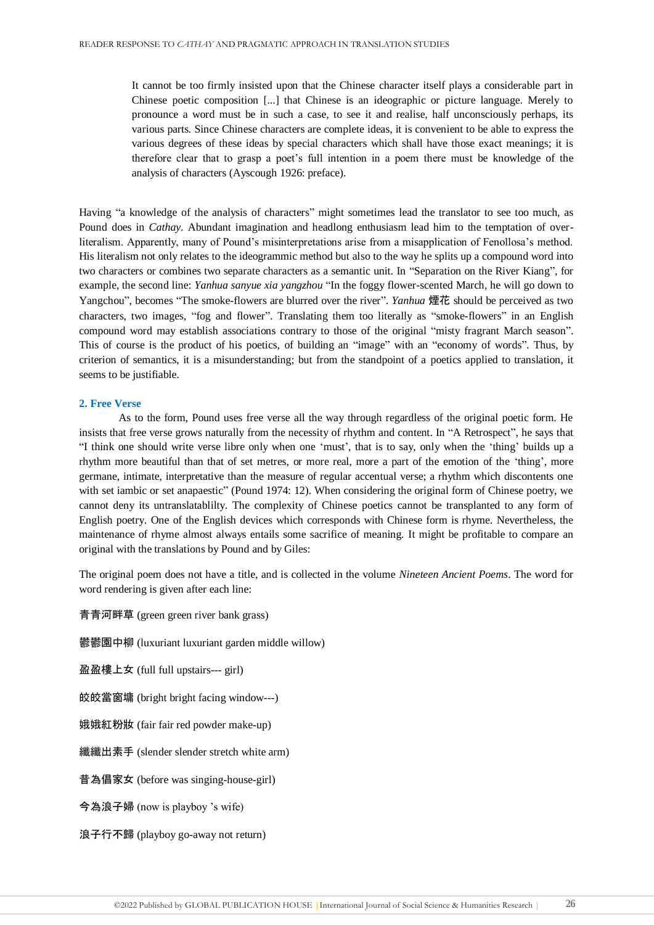It cannot be too firmly insisted upon that the Chinese character itself plays a considerable part in Chinese poetic composition [...] that Chinese is an ideographic or picture language. Merely to pronounce a word must be in such a case, to see it and realise, half unconsciously perhaps, its various parts. Since Chinese characters are complete ideas, it is convenient to be able to express the various degrees of these ideas by special characters which shall have those exact meanings; it is therefore clear that to grasp a poet's full intention in a poem there must be knowledge of the analysis of characters (Ayscough 1926: preface).

Having "a knowledge of the analysis of characters" might sometimes lead the translator to see too much, as Pound does in *Cathay*. Abundant imagination and headlong enthusiasm lead him to the temptation of overliteralism. Apparently, many of Pound's misinterpretations arise from a misapplication of Fenollosa's method. His literalism not only relates to the ideogrammic method but also to the way he splits up a compound word into two characters or combines two separate characters as a semantic unit. In "Separation on the River Kiang", for example, the second line: *Yanhua sanyue xia yangzhou* "In the foggy flower-scented March, he will go down to Yangchou", becomes "The smoke-flowers are blurred over the river". *Yanhua* 煙花 should be perceived as two characters, two images, "fog and flower". Translating them too literally as "smoke-flowers" in an English compound word may establish associations contrary to those of the original "misty fragrant March season". This of course is the product of his poetics, of building an "image" with an "economy of words". Thus, by criterion of semantics, it is a misunderstanding; but from the standpoint of a poetics applied to translation, it seems to be justifiable.

## **2. Free Verse**

As to the form, Pound uses free verse all the way through regardless of the original poetic form. He insists that free verse grows naturally from the necessity of rhythm and content. In "A Retrospect", he says that "I think one should write verse libre only when one 'must', that is to say, only when the 'thing' builds up a rhythm more beautiful than that of set metres, or more real, more a part of the emotion of the 'thing', more germane, intimate, interpretative than the measure of regular accentual verse; a rhythm which discontents one with set iambic or set anapaestic" (Pound 1974: 12). When considering the original form of Chinese poetry, we cannot deny its untranslatablilty. The complexity of Chinese poetics cannot be transplanted to any form of English poetry. One of the English devices which corresponds with Chinese form is rhyme. Nevertheless, the maintenance of rhyme almost always entails some sacrifice of meaning. It might be profitable to compare an original with the translations by Pound and by Giles:

The original poem does not have a title, and is collected in the volume *Nineteen Ancient Poems*. The word for word rendering is given after each line:

青青河畔草 (green green river bank grass)

鬱鬱園中柳 (luxuriant luxuriant garden middle willow)

盈盈樓上女 (full full upstairs--- girl)

皎皎當窗墉 (bright bright facing window---)

娥娥紅粉妝 (fair fair red powder make-up)

纖纖出素手 (slender slender stretch white arm)

昔為倡家女 (before was singing-house-girl)

今為浪子婦 (now is playboy 's wife)

浪子行不歸 (playboy go-away not return)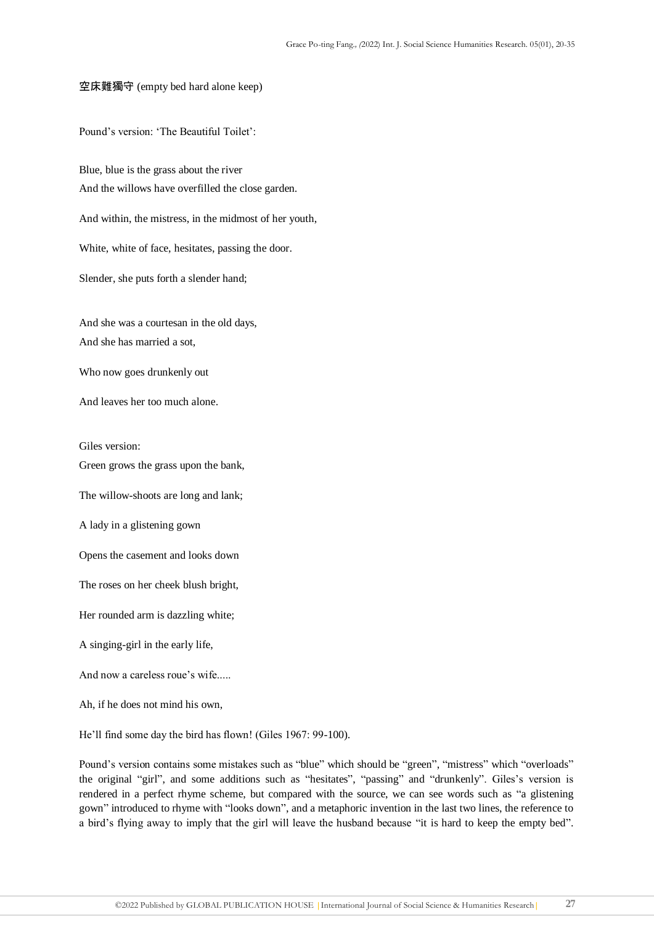## 空床難獨守 (empty bed hard alone keep)

Pound's version: 'The Beautiful Toilet':

Blue, blue is the grass about the river And the willows have overfilled the close garden.

And within, the mistress, in the midmost of her youth,

White, white of face, hesitates, passing the door.

Slender, she puts forth a slender hand;

And she was a courtesan in the old days, And she has married a sot,

Who now goes drunkenly out

And leaves her too much alone.

Giles version:

Green grows the grass upon the bank,

The willow-shoots are long and lank;

A lady in a glistening gown

Opens the casement and looks down

The roses on her cheek blush bright,

Her rounded arm is dazzling white;

A singing-girl in the early life,

And now a careless roue's wife.....

Ah, if he does not mind his own,

He'll find some day the bird has flown! (Giles 1967: 99-100).

Pound's version contains some mistakes such as "blue" which should be "green", "mistress" which "overloads" the original "girl", and some additions such as "hesitates", "passing" and "drunkenly". Giles's version is rendered in a perfect rhyme scheme, but compared with the source, we can see words such as "a glistening gown" introduced to rhyme with "looks down", and a metaphoric invention in the last two lines, the reference to a bird's flying away to imply that the girl will leave the husband because "it is hard to keep the empty bed".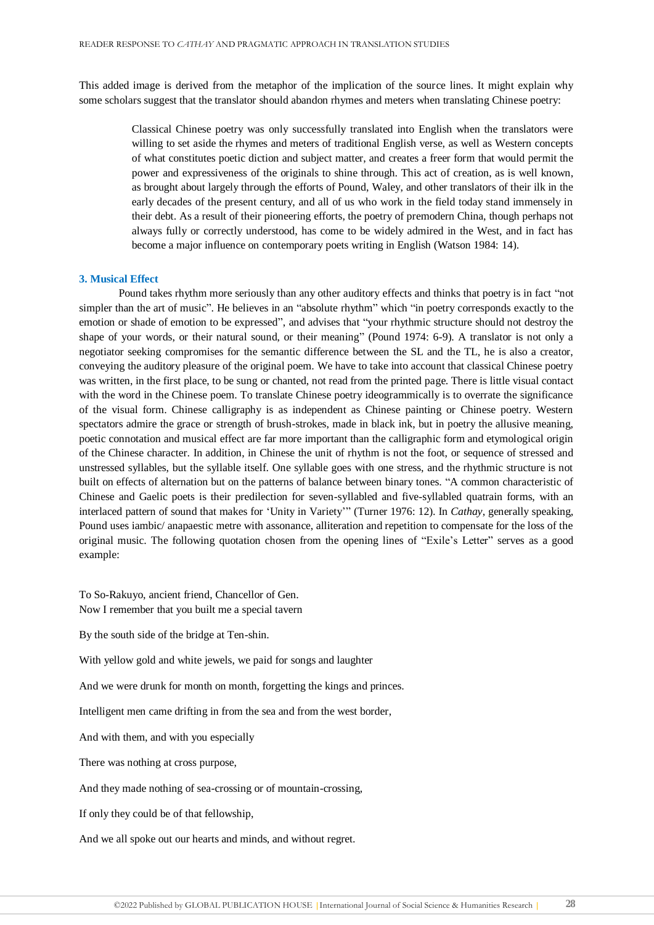This added image is derived from the metaphor of the implication of the source lines. It might explain why some scholars suggest that the translator should abandon rhymes and meters when translating Chinese poetry:

> Classical Chinese poetry was only successfully translated into English when the translators were willing to set aside the rhymes and meters of traditional English verse, as well as Western concepts of what constitutes poetic diction and subject matter, and creates a freer form that would permit the power and expressiveness of the originals to shine through. This act of creation, as is well known, as brought about largely through the efforts of Pound, Waley, and other translators of their ilk in the early decades of the present century, and all of us who work in the field today stand immensely in their debt. As a result of their pioneering efforts, the poetry of premodern China, though perhaps not always fully or correctly understood, has come to be widely admired in the West, and in fact has become a major influence on contemporary poets writing in English (Watson 1984: 14).

### **3. Musical Effect**

Pound takes rhythm more seriously than any other auditory effects and thinks that poetry is in fact "not simpler than the art of music". He believes in an "absolute rhythm" which "in poetry corresponds exactly to the emotion or shade of emotion to be expressed", and advises that "your rhythmic structure should not destroy the shape of your words, or their natural sound, or their meaning" (Pound 1974: 6-9). A translator is not only a negotiator seeking compromises for the semantic difference between the SL and the TL, he is also a creator, conveying the auditory pleasure of the original poem. We have to take into account that classical Chinese poetry was written, in the first place, to be sung or chanted, not read from the printed page. There is little visual contact with the word in the Chinese poem. To translate Chinese poetry ideogrammically is to overrate the significance of the visual form. Chinese calligraphy is as independent as Chinese painting or Chinese poetry. Western spectators admire the grace or strength of brush-strokes, made in black ink, but in poetry the allusive meaning, poetic connotation and musical effect are far more important than the calligraphic form and etymological origin of the Chinese character. In addition, in Chinese the unit of rhythm is not the foot, or sequence of stressed and unstressed syllables, but the syllable itself. One syllable goes with one stress, and the rhythmic structure is not built on effects of alternation but on the patterns of balance between binary tones. "A common characteristic of Chinese and Gaelic poets is their predilection for seven-syllabled and five-syllabled quatrain forms, with an interlaced pattern of sound that makes for 'Unity in Variety'" (Turner 1976: 12). In *Cathay*, generally speaking, Pound uses iambic/ anapaestic metre with assonance, alliteration and repetition to compensate for the loss of the original music. The following quotation chosen from the opening lines of "Exile's Letter" serves as a good example:

To So-Rakuyo, ancient friend, Chancellor of Gen. Now I remember that you built me a special tavern

By the south side of the bridge at Ten-shin.

With yellow gold and white jewels, we paid for songs and laughter

And we were drunk for month on month, forgetting the kings and princes.

Intelligent men came drifting in from the sea and from the west border,

And with them, and with you especially

There was nothing at cross purpose,

And they made nothing of sea-crossing or of mountain-crossing,

If only they could be of that fellowship,

And we all spoke out our hearts and minds, and without regret.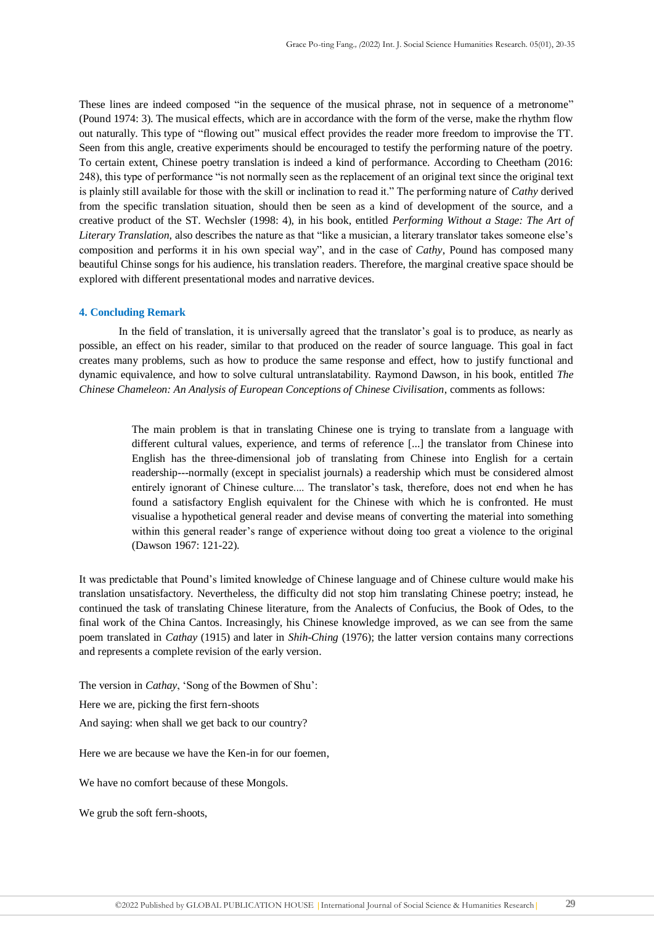These lines are indeed composed "in the sequence of the musical phrase, not in sequence of a metronome" (Pound 1974: 3). The musical effects, which are in accordance with the form of the verse, make the rhythm flow out naturally. This type of "flowing out" musical effect provides the reader more freedom to improvise the TT. Seen from this angle, creative experiments should be encouraged to testify the performing nature of the poetry. To certain extent, Chinese poetry translation is indeed a kind of performance. According to Cheetham (2016: 248), this type of performance "is not normally seen as the replacement of an original text since the original text is plainly still available for those with the skill or inclination to read it." The performing nature of *Cathy* derived from the specific translation situation, should then be seen as a kind of development of the source, and a creative product of the ST. Wechsler (1998: 4), in his book, entitled *Performing Without a Stage: The Art of Literary Translation*, also describes the nature as that "like a musician, a literary translator takes someone else's composition and performs it in his own special way", and in the case of *Cathy*, Pound has composed many beautiful Chinse songs for his audience, his translation readers. Therefore, the marginal creative space should be explored with different presentational modes and narrative devices.

#### **4. Concluding Remark**

In the field of translation, it is universally agreed that the translator's goal is to produce, as nearly as possible, an effect on his reader, similar to that produced on the reader of source language. This goal in fact creates many problems, such as how to produce the same response and effect, how to justify functional and dynamic equivalence, and how to solve cultural untranslatability. Raymond Dawson, in his book, entitled *The Chinese Chameleon: An Analysis of European Conceptions of Chinese Civilisation*, comments as follows:

> The main problem is that in translating Chinese one is trying to translate from a language with different cultural values, experience, and terms of reference [...] the translator from Chinese into English has the three-dimensional job of translating from Chinese into English for a certain readership---normally (except in specialist journals) a readership which must be considered almost entirely ignorant of Chinese culture.... The translator's task, therefore, does not end when he has found a satisfactory English equivalent for the Chinese with which he is confronted. He must visualise a hypothetical general reader and devise means of converting the material into something within this general reader's range of experience without doing too great a violence to the original (Dawson 1967: 121-22).

It was predictable that Pound's limited knowledge of Chinese language and of Chinese culture would make his translation unsatisfactory. Nevertheless, the difficulty did not stop him translating Chinese poetry; instead, he continued the task of translating Chinese literature, from the Analects of Confucius, the Book of Odes, to the final work of the China Cantos. Increasingly, his Chinese knowledge improved, as we can see from the same poem translated in *Cathay* (1915) and later in *Shih-Ching* (1976); the latter version contains many corrections and represents a complete revision of the early version.

The version in *Cathay*, 'Song of the Bowmen of Shu':

Here we are, picking the first fern-shoots

And saying: when shall we get back to our country?

Here we are because we have the Ken-in for our foemen,

We have no comfort because of these Mongols.

We grub the soft fern-shoots,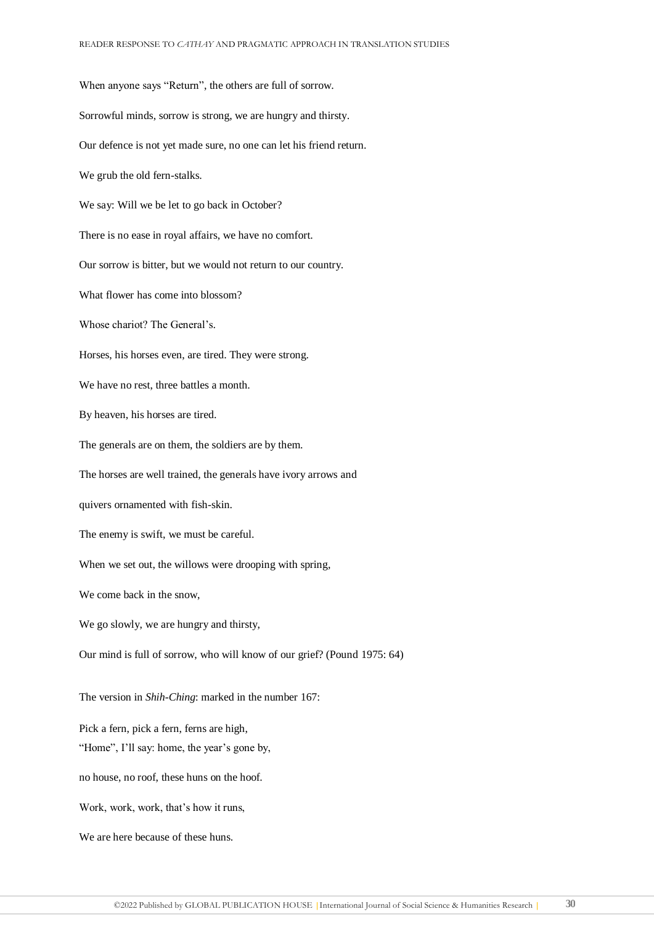When anyone says "Return", the others are full of sorrow. Sorrowful minds, sorrow is strong, we are hungry and thirsty. Our defence is not yet made sure, no one can let his friend return. We grub the old fern-stalks. We say: Will we be let to go back in October? There is no ease in royal affairs, we have no comfort. Our sorrow is bitter, but we would not return to our country. What flower has come into blossom? Whose chariot? The General's. Horses, his horses even, are tired. They were strong. We have no rest, three battles a month. By heaven, his horses are tired. The generals are on them, the soldiers are by them. The horses are well trained, the generals have ivory arrows and quivers ornamented with fish-skin. The enemy is swift, we must be careful. When we set out, the willows were drooping with spring, We come back in the snow, We go slowly, we are hungry and thirsty, Our mind is full of sorrow, who will know of our grief? (Pound 1975: 64) The version in *Shih-Ching*: marked in the number 167: Pick a fern, pick a fern, ferns are high, "Home", I'll say: home, the year's gone by, no house, no roof, these huns on the hoof. Work, work, work, that's how it runs, We are here because of these huns.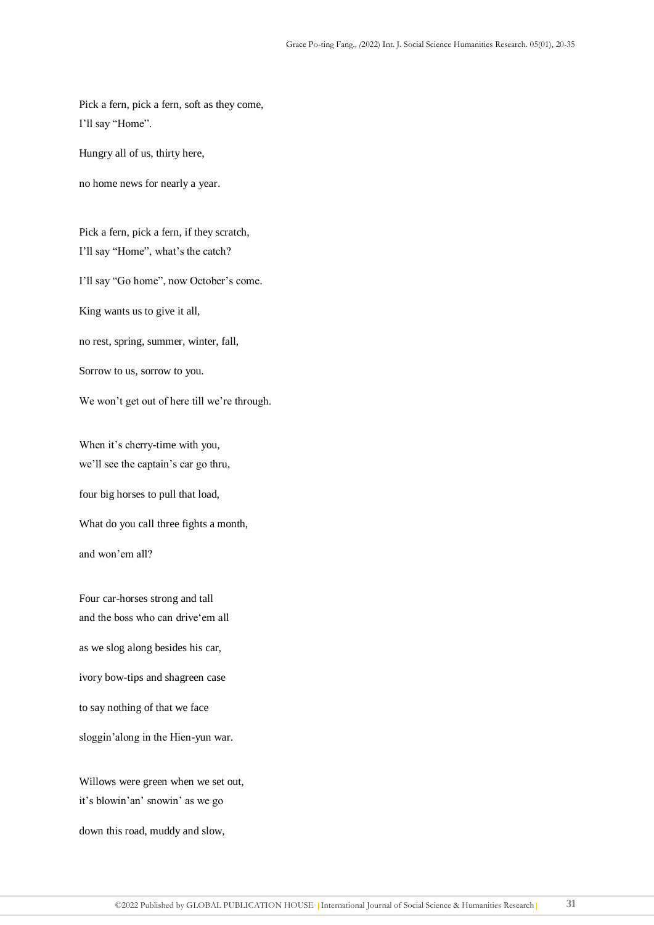Pick a fern, pick a fern, soft as they come, I'll say "Home".

Hungry all of us, thirty here,

no home news for nearly a year.

Pick a fern, pick a fern, if they scratch, I'll say "Home", what's the catch?

I'll say "Go home", now October's come.

King wants us to give it all,

no rest, spring, summer, winter, fall,

Sorrow to us, sorrow to you.

We won't get out of here till we're through.

When it's cherry-time with you, we'll see the captain's car go thru,

four big horses to pull that load,

What do you call three fights a month,

and won'em all?

Four car-horses strong and tall and the boss who can drive'em all as we slog along besides his car, ivory bow-tips and shagreen case to say nothing of that we face sloggin'along in the Hien-yun war.

Willows were green when we set out, it's blowin'an' snowin' as we go

down this road, muddy and slow,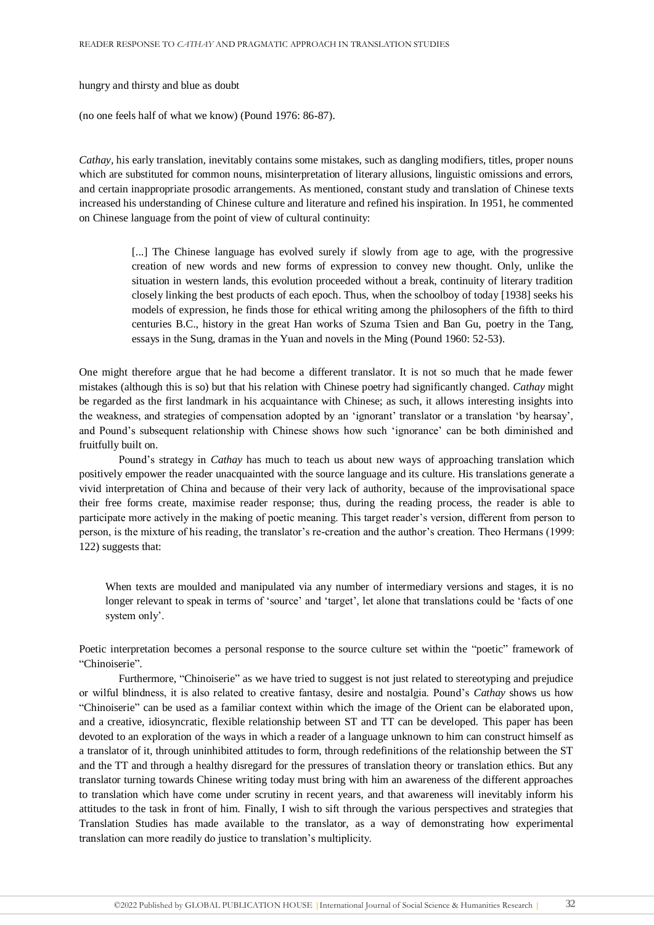hungry and thirsty and blue as doubt

(no one feels half of what we know) (Pound 1976: 86-87).

*Cathay,* his early translation, inevitably contains some mistakes, such as dangling modifiers, titles, proper nouns which are substituted for common nouns, misinterpretation of literary allusions, linguistic omissions and errors, and certain inappropriate prosodic arrangements. As mentioned, constant study and translation of Chinese texts increased his understanding of Chinese culture and literature and refined his inspiration. In 1951, he commented on Chinese language from the point of view of cultural continuity:

> [...] The Chinese language has evolved surely if slowly from age to age, with the progressive creation of new words and new forms of expression to convey new thought. Only, unlike the situation in western lands, this evolution proceeded without a break, continuity of literary tradition closely linking the best products of each epoch. Thus, when the schoolboy of today [1938] seeks his models of expression, he finds those for ethical writing among the philosophers of the fifth to third centuries B.C., history in the great Han works of Szuma Tsien and Ban Gu, poetry in the Tang, essays in the Sung, dramas in the Yuan and novels in the Ming (Pound 1960: 52-53).

One might therefore argue that he had become a different translator. It is not so much that he made fewer mistakes (although this is so) but that his relation with Chinese poetry had significantly changed. *Cathay* might be regarded as the first landmark in his acquaintance with Chinese; as such, it allows interesting insights into the weakness, and strategies of compensation adopted by an 'ignorant' translator or a translation 'by hearsay', and Pound's subsequent relationship with Chinese shows how such 'ignorance' can be both diminished and fruitfully built on.

Pound's strategy in *Cathay* has much to teach us about new ways of approaching translation which positively empower the reader unacquainted with the source language and its culture. His translations generate a vivid interpretation of China and because of their very lack of authority, because of the improvisational space their free forms create, maximise reader response; thus, during the reading process, the reader is able to participate more actively in the making of poetic meaning. This target reader's version, different from person to person, is the mixture of his reading, the translator's re-creation and the author's creation. Theo Hermans (1999: 122) suggests that:

When texts are moulded and manipulated via any number of intermediary versions and stages, it is no longer relevant to speak in terms of 'source' and 'target', let alone that translations could be 'facts of one system only'.

Poetic interpretation becomes a personal response to the source culture set within the "poetic" framework of "Chinoiserie".

Furthermore, "Chinoiserie" as we have tried to suggest is not just related to stereotyping and prejudice or wilful blindness, it is also related to creative fantasy, desire and nostalgia. Pound's *Cathay* shows us how "Chinoiserie" can be used as a familiar context within which the image of the Orient can be elaborated upon, and a creative, idiosyncratic, flexible relationship between ST and TT can be developed. This paper has been devoted to an exploration of the ways in which a reader of a language unknown to him can construct himself as a translator of it, through uninhibited attitudes to form, through redefinitions of the relationship between the ST and the TT and through a healthy disregard for the pressures of translation theory or translation ethics. But any translator turning towards Chinese writing today must bring with him an awareness of the different approaches to translation which have come under scrutiny in recent years, and that awareness will inevitably inform his attitudes to the task in front of him. Finally, I wish to sift through the various perspectives and strategies that Translation Studies has made available to the translator, as a way of demonstrating how experimental translation can more readily do justice to translation's multiplicity.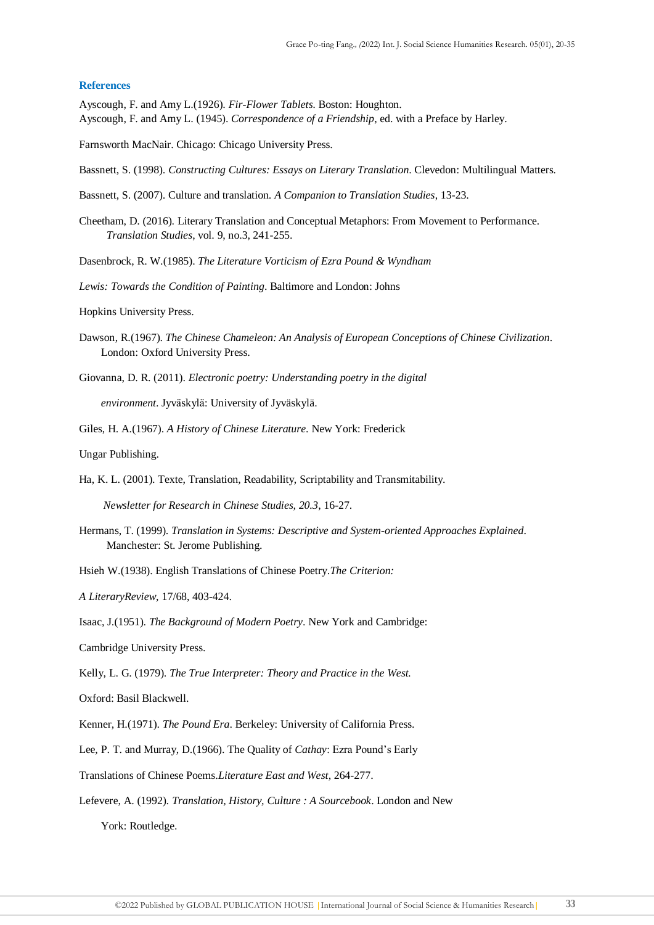### **References**

Ayscough, F. and Amy L.(1926). *Fir-Flower Tablets.* Boston: Houghton. Ayscough, F. and Amy L. (1945). *Correspondence of a Friendship*, ed. with a Preface by Harley.

Farnsworth MacNair. Chicago: Chicago University Press.

- Bassnett, S. (1998). *Constructing Cultures: Essays on Literary Translation*. Clevedon: Multilingual Matters.
- Bassnett, S. (2007). Culture and translation. *A Companion to Translation Studies*, 13-23.
- Cheetham, D. (2016). Literary Translation and Conceptual Metaphors: From Movement to Performance. *Translation Studies*, vol. 9, no.3, 241-255.
- Dasenbrock, R. W.(1985). *The Literature Vorticism of Ezra Pound & Wyndham*
- *Lewis: Towards the Condition of Painting*. Baltimore and London: Johns
- Hopkins University Press.
- Dawson, R.(1967). *The Chinese Chameleon: An Analysis of European Conceptions of Chinese Civilization.*  London: Oxford University Press.
- Giovanna, D. R. (2011). *Electronic poetry: Understanding poetry in the digital*

*environment*. Jyväskylä: University of Jyväskylä.

Giles, H. A.(1967). *A History of Chinese Literature*. New York: Frederick

Ungar Publishing.

Ha, K. L. (2001). Texte, Translation, Readability, Scriptability and Transmitability.

*Newsletter for Research in Chinese Studies, 20.3*, 16-27.

- Hermans, T. (1999). *Translation in Systems: Descriptive and System-oriented Approaches Explained*. Manchester: St. Jerome Publishing.
- Hsieh W.(1938). English Translations of Chinese Poetry.*The Criterion:*

*A LiteraryReview*, 17/68, 403-424.

Isaac, J.(1951). *The Background of Modern Poetry*. New York and Cambridge:

Cambridge University Press.

Kelly, L. G. (1979). *The True Interpreter: Theory and Practice in the West.*

Oxford: Basil Blackwell.

Kenner, H.(1971). *The Pound Era*. Berkeley: University of California Press.

Lee, P. T. and Murray, D.(1966). The Quality of *Cathay*: Ezra Pound's Early

- Translations of Chinese Poems.*Literature East and West*, 264-277.
- Lefevere, A. (1992). *Translation, History, Culture : A Sourcebook*. London and New

York: Routledge.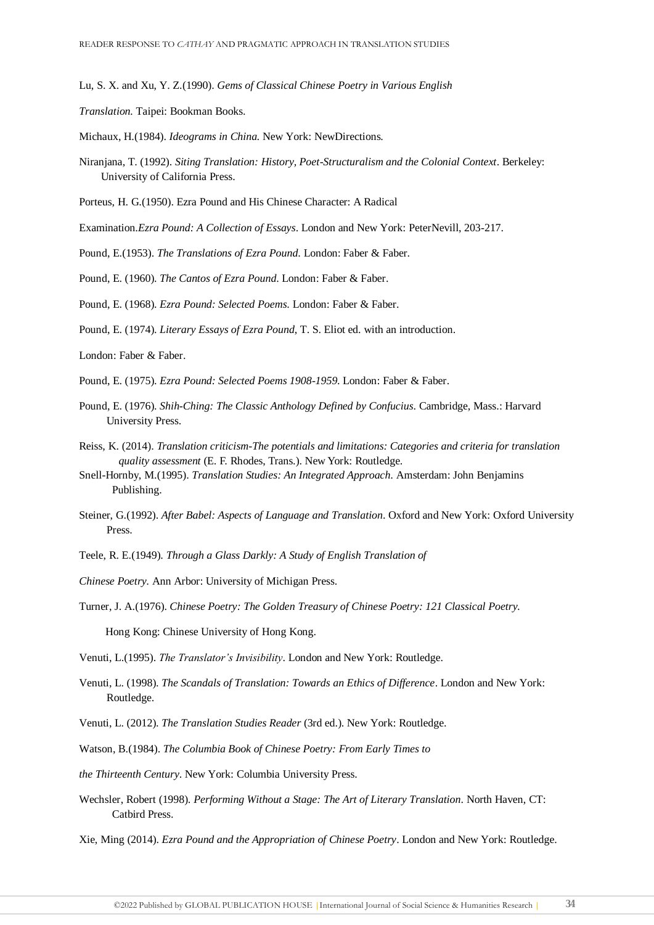Lu, S. X. and Xu, Y. Z.(1990). *Gems of Classical Chinese Poetry in Various English*

*Translation.* Taipei: Bookman Books.

- Michaux, H.(1984). *Ideograms in China.* New York: NewDirections.
- Niranjana, T. (1992). *Siting Translation: History, Poet-Structuralism and the Colonial Context*. Berkeley: University of California Press.
- Porteus, H. G.(1950). Ezra Pound and His Chinese Character: A Radical
- Examination.*Ezra Pound: A Collection of Essays*. London and New York: PeterNevill, 203-217.

Pound, E.(1953). *The Translations of Ezra Pound*. London: Faber & Faber.

Pound, E. (1960). *The Cantos of Ezra Pound*. London: Faber & Faber.

Pound, E. (1968). *Ezra Pound: Selected Poems*. London: Faber & Faber.

Pound, E. (1974). *Literary Essays of Ezra Pound*, T. S. Eliot ed. with an introduction.

London: Faber & Faber.

- Pound, E. (1975). *Ezra Pound: Selected Poems 1908-1959*. London: Faber & Faber.
- Pound, E. (1976). *Shih-Ching: The Classic Anthology Defined by Confucius*. Cambridge, Mass.: Harvard University Press.
- Reiss, K. (2014). *Translation criticism-The potentials and limitations: Categories and criteria for translation quality assessment* (E. F. Rhodes, Trans.). New York: Routledge.
- Snell-Hornby, M.(1995). *Translation Studies: An Integrated Approach.* Amsterdam: John Benjamins Publishing.
- Steiner, G.(1992). *After Babel: Aspects of Language and Translation*. Oxford and New York: Oxford University Press.

Teele, R. E.(1949). *Through a Glass Darkly: A Study of English Translation of*

*Chinese Poetry.* Ann Arbor: University of Michigan Press.

Turner, J. A.(1976). *Chinese Poetry: The Golden Treasury of Chinese Poetry: 121 Classical Poetry.*

Hong Kong: Chinese University of Hong Kong.

Venuti, L.(1995). *The Translator's Invisibility*. London and New York: Routledge.

- Venuti, L. (1998). *The Scandals of Translation: Towards an Ethics of Difference*. London and New York: Routledge.
- Venuti, L. (2012). *The Translation Studies Reader* (3rd ed.). New York: Routledge.

Watson, B.(1984). *The Columbia Book of Chinese Poetry: From Early Times to*

- *the Thirteenth Century*. New York: Columbia University Press.
- Wechsler, Robert (1998). *Performing Without a Stage: The Art of Literary Translation*. North Haven, CT: Catbird Press.

Xie, Ming (2014). *Ezra Pound and the Appropriation of Chinese Poetry*. London and New York: Routledge.